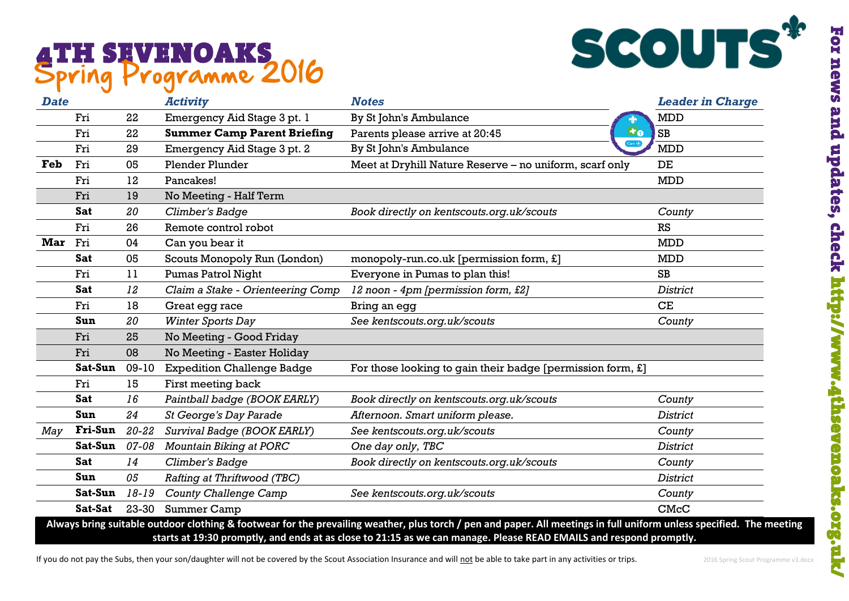## Spring Programme 2016



| <b>Date</b> |                |           | <b>Activity</b>                    | <b>Notes</b>                                                  | <b>Leader in Charge</b> |
|-------------|----------------|-----------|------------------------------------|---------------------------------------------------------------|-------------------------|
|             | Fri            | 22        | Emergency Aid Stage 3 pt. 1        | By St John's Ambulance                                        | <b>MDD</b>              |
|             | Fri            | 22        | <b>Summer Camp Parent Briefing</b> | F <sub>0</sub><br>Parents please arrive at 20:45              | SB                      |
|             | Fri            | 29        | Emergency Aid Stage 3 pt. 2        | $2$ are $\overline{+}$<br>By St John's Ambulance              | <b>MDD</b>              |
| Feb         | Fri            | 05        | <b>Plender Plunder</b>             | Meet at Dryhill Nature Reserve - no uniform, scarf only       | DE                      |
|             | Fri            | 12        | Pancakes!                          |                                                               | <b>MDD</b>              |
|             | Fri            | 19        | No Meeting - Half Term             |                                                               |                         |
|             | <b>Sat</b>     | 20        | Climber's Badge                    | Book directly on kentscouts.org.uk/scouts                     | County                  |
|             | Fri            | 26        | Remote control robot               |                                                               | RS                      |
| Mar Fri     |                | 04        | Can you bear it                    |                                                               | <b>MDD</b>              |
|             | Sat            | 05        | Scouts Monopoly Run (London)       | monopoly-run.co.uk [permission form, £]                       | <b>MDD</b>              |
|             | Fri            | 11        | <b>Pumas Patrol Night</b>          | Everyone in Pumas to plan this!                               | SB                      |
|             | <b>Sat</b>     | 12        | Claim a Stake - Orienteering Comp  | 12 noon - 4pm [permission form, £2]                           | <b>District</b>         |
|             | Fri            | 18        | Great egg race                     | Bring an egg                                                  | CE                      |
|             | Sun            | 20        | <b>Winter Sports Day</b>           | See kentscouts.org.uk/scouts                                  | County                  |
|             | Fri            | 25        | No Meeting - Good Friday           |                                                               |                         |
|             | Fri            | 08        | No Meeting - Easter Holiday        |                                                               |                         |
|             | Sat-Sun        | $09-10$   | <b>Expedition Challenge Badge</b>  | For those looking to gain their badge [permission form, $E$ ] |                         |
|             | Fri            | 15        | First meeting back                 |                                                               |                         |
|             | Sat            | 16        | Paintball badge (BOOK EARLY)       | Book directly on kentscouts.org.uk/scouts                     | County                  |
|             | Sun            | 24        | <b>St George's Day Parade</b>      | Afternoon. Smart uniform please.                              | <b>District</b>         |
| May         | <b>Fri-Sun</b> | $20 - 22$ | Survival Badge (BOOK EARLY)        | See kentscouts.org.uk/scouts                                  | County                  |
|             | Sat-Sun        | 07-08     | Mountain Biking at PORC            | One day only, TBC                                             | <b>District</b>         |
|             | <b>Sat</b>     | 14        | Climber's Badge                    | Book directly on kentscouts.org.uk/scouts                     | County                  |
|             | Sun            | 05        | Rafting at Thriftwood (TBC)        |                                                               | <b>District</b>         |
|             | Sat-Sun        | $18 - 19$ | <b>County Challenge Camp</b>       | See kentscouts.org.uk/scouts                                  | County                  |
|             | Sat-Sat        | 23-30     | <b>Summer Camp</b>                 |                                                               | CMcC                    |

If you do not pay the Subs, then your son/daughter will not be covered by the Scout Association Insurance and will not be able to take part in any activities or trips. 2016 Spring Scout Programme v3.docx